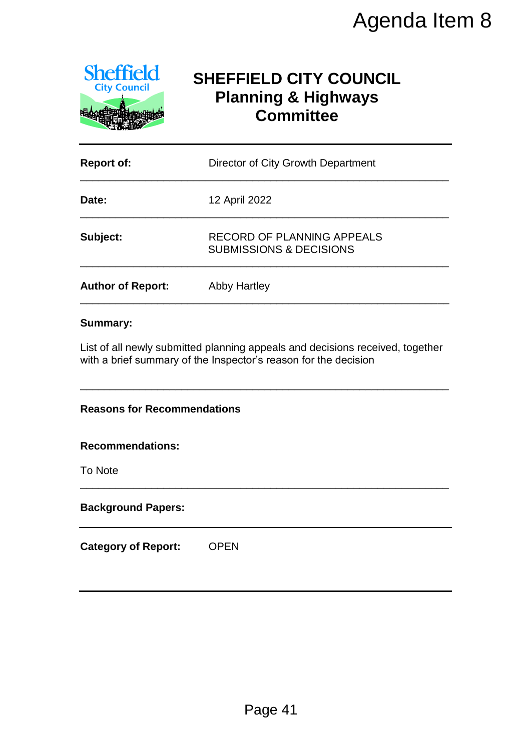

# **SHEFFIELD CITY COUNCIL Planning & Highways Committee**

|                                                                          | Agenda Item 8                                                                                                                                    |  |  |
|--------------------------------------------------------------------------|--------------------------------------------------------------------------------------------------------------------------------------------------|--|--|
| <b>Sheffield</b><br><b>City Council</b>                                  | <b>SHEFFIELD CITY COUNCIL</b><br><b>Planning &amp; Highways</b><br><b>Committee</b>                                                              |  |  |
| <b>Report of:</b>                                                        | Director of City Growth Department                                                                                                               |  |  |
| Date:                                                                    | 12 April 2022                                                                                                                                    |  |  |
| Subject:                                                                 | <b>RECORD OF PLANNING APPEALS</b><br><b>SUBMISSIONS &amp; DECISIONS</b>                                                                          |  |  |
| <b>Author of Report:</b>                                                 | <b>Abby Hartley</b>                                                                                                                              |  |  |
|                                                                          | List of all newly submitted planning appeals and decisions received, together<br>with a brief summary of the Inspector's reason for the decision |  |  |
| <b>Reasons for Recommendations</b><br><b>Recommendations:</b><br>To Note |                                                                                                                                                  |  |  |
| <b>Background Papers:</b>                                                |                                                                                                                                                  |  |  |
| <b>Category of Report:</b>                                               | <b>OPEN</b>                                                                                                                                      |  |  |
|                                                                          | Page 41                                                                                                                                          |  |  |

#### **Summary:**

#### **Reasons for Recommendations**

#### **Recommendations:**

#### **Background Papers:**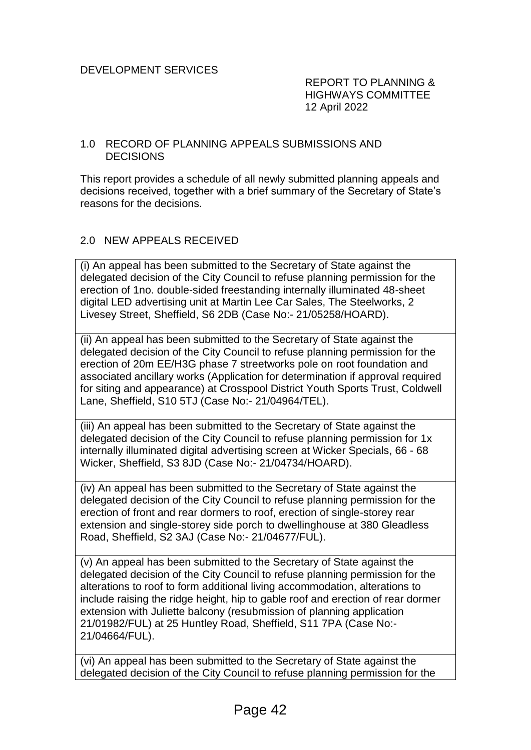REPORT TO PLANNING & HIGHWAYS COMMITTEE 12 April 2022

#### 1.0 RECORD OF PLANNING APPEALS SUBMISSIONS AND DECISIONS

This report provides a schedule of all newly submitted planning appeals and decisions received, together with a brief summary of the Secretary of State's reasons for the decisions.

#### 2.0 NEW APPEALS RECEIVED

(i) An appeal has been submitted to the Secretary of State against the delegated decision of the City Council to refuse planning permission for the erection of 1no. double-sided freestanding internally illuminated 48-sheet digital LED advertising unit at Martin Lee Car Sales, The Steelworks, 2 Livesey Street, Sheffield, S6 2DB (Case No:- 21/05258/HOARD).

(ii) An appeal has been submitted to the Secretary of State against the delegated decision of the City Council to refuse planning permission for the erection of 20m EE/H3G phase 7 streetworks pole on root foundation and associated ancillary works (Application for determination if approval required for siting and appearance) at Crosspool District Youth Sports Trust, Coldwell Lane, Sheffield, S10 5TJ (Case No:- 21/04964/TEL).

(iii) An appeal has been submitted to the Secretary of State against the delegated decision of the City Council to refuse planning permission for 1x internally illuminated digital advertising screen at Wicker Specials, 66 - 68 Wicker, Sheffield, S3 8JD (Case No:- 21/04734/HOARD).

(iv) An appeal has been submitted to the Secretary of State against the delegated decision of the City Council to refuse planning permission for the erection of front and rear dormers to roof, erection of single-storey rear extension and single-storey side porch to dwellinghouse at 380 Gleadless Road, Sheffield, S2 3AJ (Case No:- 21/04677/FUL).

(v) An appeal has been submitted to the Secretary of State against the delegated decision of the City Council to refuse planning permission for the alterations to roof to form additional living accommodation, alterations to include raising the ridge height, hip to gable roof and erection of rear dormer extension with Juliette balcony (resubmission of planning application 21/01982/FUL) at 25 Huntley Road, Sheffield, S11 7PA (Case No:- 21/04664/FUL).

(vi) An appeal has been submitted to the Secretary of State against the delegated decision of the City Council to refuse planning permission for the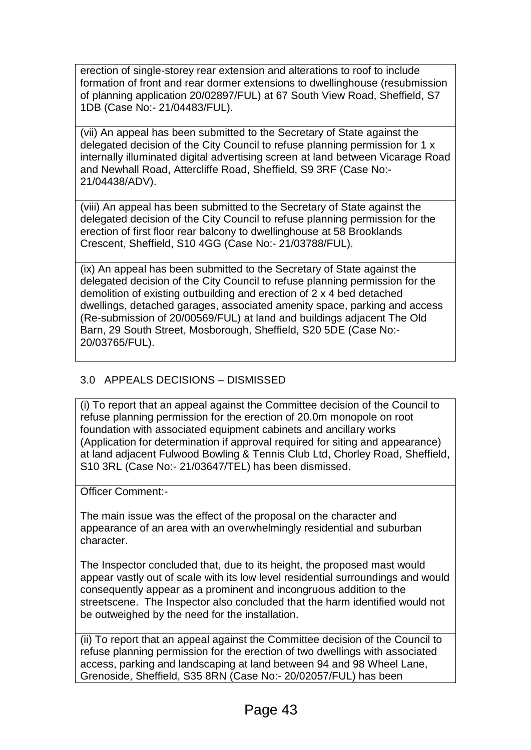erection of single-storey rear extension and alterations to roof to include formation of front and rear dormer extensions to dwellinghouse (resubmission of planning application 20/02897/FUL) at 67 South View Road, Sheffield, S7 1DB (Case No:- 21/04483/FUL).

(vii) An appeal has been submitted to the Secretary of State against the delegated decision of the City Council to refuse planning permission for 1 x internally illuminated digital advertising screen at land between Vicarage Road and Newhall Road, Attercliffe Road, Sheffield, S9 3RF (Case No:- 21/04438/ADV).

(viii) An appeal has been submitted to the Secretary of State against the delegated decision of the City Council to refuse planning permission for the erection of first floor rear balcony to dwellinghouse at 58 Brooklands Crescent, Sheffield, S10 4GG (Case No:- 21/03788/FUL).

(ix) An appeal has been submitted to the Secretary of State against the delegated decision of the City Council to refuse planning permission for the demolition of existing outbuilding and erection of 2 x 4 bed detached dwellings, detached garages, associated amenity space, parking and access (Re-submission of 20/00569/FUL) at land and buildings adjacent The Old Barn, 29 South Street, Mosborough, Sheffield, S20 5DE (Case No:- 20/03765/FUL).

# 3.0 APPEALS DECISIONS – DISMISSED

(i) To report that an appeal against the Committee decision of the Council to refuse planning permission for the erection of 20.0m monopole on root foundation with associated equipment cabinets and ancillary works (Application for determination if approval required for siting and appearance) at land adjacent Fulwood Bowling & Tennis Club Ltd, Chorley Road, Sheffield, S10 3RL (Case No:- 21/03647/TEL) has been dismissed.

Officer Comment:-

The main issue was the effect of the proposal on the character and appearance of an area with an overwhelmingly residential and suburban character.

The Inspector concluded that, due to its height, the proposed mast would appear vastly out of scale with its low level residential surroundings and would consequently appear as a prominent and incongruous addition to the streetscene. The Inspector also concluded that the harm identified would not be outweighed by the need for the installation.

(ii) To report that an appeal against the Committee decision of the Council to refuse planning permission for the erection of two dwellings with associated access, parking and landscaping at land between 94 and 98 Wheel Lane, Grenoside, Sheffield, S35 8RN (Case No:- 20/02057/FUL) has been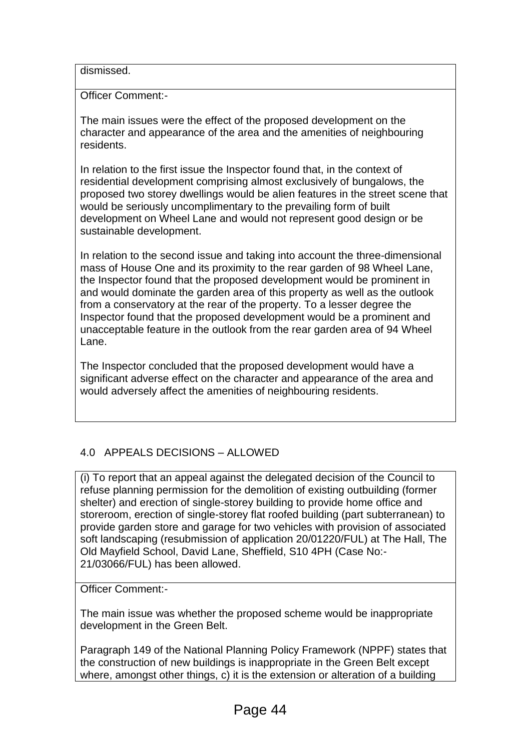dismissed.

Officer Comment:-

The main issues were the effect of the proposed development on the character and appearance of the area and the amenities of neighbouring residents.

In relation to the first issue the Inspector found that, in the context of residential development comprising almost exclusively of bungalows, the proposed two storey dwellings would be alien features in the street scene that would be seriously uncomplimentary to the prevailing form of built development on Wheel Lane and would not represent good design or be sustainable development.

In relation to the second issue and taking into account the three-dimensional mass of House One and its proximity to the rear garden of 98 Wheel Lane, the Inspector found that the proposed development would be prominent in and would dominate the garden area of this property as well as the outlook from a conservatory at the rear of the property. To a lesser degree the Inspector found that the proposed development would be a prominent and unacceptable feature in the outlook from the rear garden area of 94 Wheel Lane.

The Inspector concluded that the proposed development would have a significant adverse effect on the character and appearance of the area and would adversely affect the amenities of neighbouring residents.

# 4.0 APPEALS DECISIONS – ALLOWED

(i) To report that an appeal against the delegated decision of the Council to refuse planning permission for the demolition of existing outbuilding (former shelter) and erection of single-storey building to provide home office and storeroom, erection of single-storey flat roofed building (part subterranean) to provide garden store and garage for two vehicles with provision of associated soft landscaping (resubmission of application 20/01220/FUL) at The Hall, The Old Mayfield School, David Lane, Sheffield, S10 4PH (Case No:- 21/03066/FUL) has been allowed.

Officer Comment:-

The main issue was whether the proposed scheme would be inappropriate development in the Green Belt.

Paragraph 149 of the National Planning Policy Framework (NPPF) states that the construction of new buildings is inappropriate in the Green Belt except where, amongst other things, c) it is the extension or alteration of a building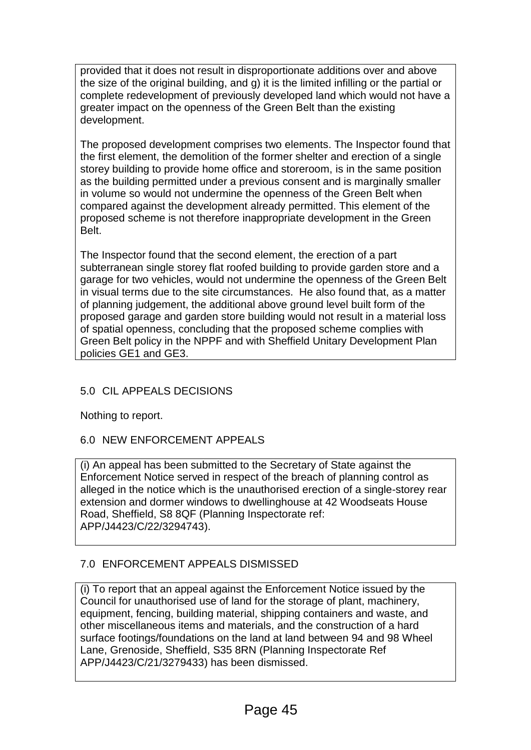provided that it does not result in disproportionate additions over and above the size of the original building, and g) it is the limited infilling or the partial or complete redevelopment of previously developed land which would not have a greater impact on the openness of the Green Belt than the existing development.

The proposed development comprises two elements. The Inspector found that the first element, the demolition of the former shelter and erection of a single storey building to provide home office and storeroom, is in the same position as the building permitted under a previous consent and is marginally smaller in volume so would not undermine the openness of the Green Belt when compared against the development already permitted. This element of the proposed scheme is not therefore inappropriate development in the Green Belt.

The Inspector found that the second element, the erection of a part subterranean single storey flat roofed building to provide garden store and a garage for two vehicles, would not undermine the openness of the Green Belt in visual terms due to the site circumstances. He also found that, as a matter of planning judgement, the additional above ground level built form of the proposed garage and garden store building would not result in a material loss of spatial openness, concluding that the proposed scheme complies with Green Belt policy in the NPPF and with Sheffield Unitary Development Plan policies GE1 and GE3.

# 5.0 CIL APPEALS DECISIONS

Nothing to report.

# 6.0 NEW ENFORCEMENT APPEALS

(i) An appeal has been submitted to the Secretary of State against the Enforcement Notice served in respect of the breach of planning control as alleged in the notice which is the unauthorised erection of a single-storey rear extension and dormer windows to dwellinghouse at 42 Woodseats House Road, Sheffield, S8 8QF (Planning Inspectorate ref: APP/J4423/C/22/3294743).

# 7.0 ENFORCEMENT APPEALS DISMISSED

(i) To report that an appeal against the Enforcement Notice issued by the Council for unauthorised use of land for the storage of plant, machinery, equipment, fencing, building material, shipping containers and waste, and other miscellaneous items and materials, and the construction of a hard surface footings/foundations on the land at land between 94 and 98 Wheel Lane, Grenoside, Sheffield, S35 8RN (Planning Inspectorate Ref APP/J4423/C/21/3279433) has been dismissed.